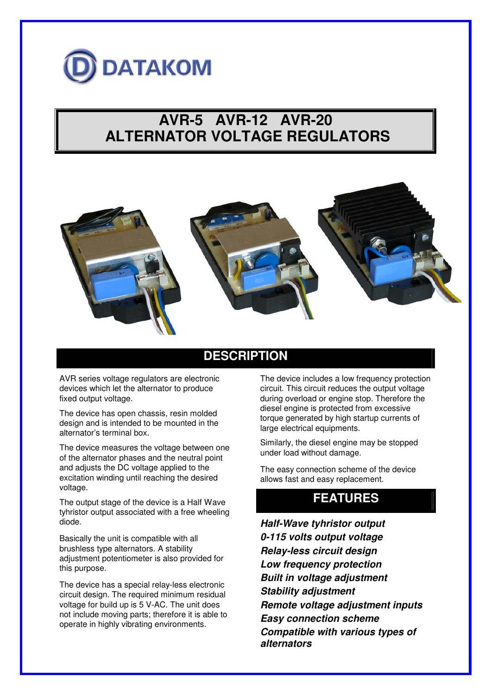

# **AVR-5 AVR-12 AVR-20 ALTERNATOR VOLTAGE REGULATORS**



#### **DESCRIPTION**

AVR series voltage regulators are electronic devices which let the alternator to produce fixed output voltage.

The device has open chassis, resin molded design and is intended to be mounted in the alternator's terminal box.

The device measures the voltage between one of the alternator phases and the neutral point and adjusts the DC voltage applied to the excitation winding until reaching the desired voltage.

The output stage of the device is a Half Wave tyhristor output associated with a free wheeling diode.

Basically the unit is compatible with all brushless type alternators. A stability adjustment potentiometer is also provided for this purpose.

The device has a special relay-less electronic circuit design. The required minimum residual voltage for build up is 5 V-AC. The unit does not include moving parts; therefore it is able to operate in highly vibrating environments.

The device includes a low frequency protection circuit. This circuit reduces the output voltage during overload or engine stop. Therefore the diesel engine is protected from excessive torque generated by high startup currents of large electrical equipments.

Similarly, the diesel engine may be stopped under load without damage.

The easy connection scheme of the device allows fast and easy replacement.

### **FEATURES**

*Half-Wave tyhristor output 0-115 volts output voltage Relay-less circuit design Low frequency protection Built in voltage adjustment Stability adjustment Remote voltage adjustment inputs Easy connection scheme Compatible with various types of alternators*